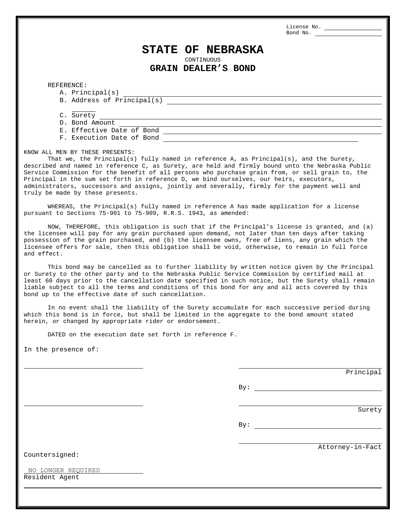License No. Bond No.

## **STATE OF NEBRASKA**

CONTINUOUS

**GRAIN DEALER'S BOND**

REFERENCE:

- A. Principal(s)
- B. Address of Principal(s)

C. Surety

- D. Bond Amount
- E. Effective Date of Bond
- F. Execution Date of Bond

KNOW ALL MEN BY THESE PRESENTS:

That we, the Principal(s) fully named in reference A, as Principal(s), and the Surety, described and named in reference C, as Surety, are held and firmly bound unto the Nebraska Public Service Commission for the benefit of all persons who purchase grain from, or sell grain to, the Principal in the sum set forth in reference D, we bind ourselves, our heirs, executors, administrators, successors and assigns, jointly and severally, firmly for the payment well and truly be made by these presents.

WHEREAS, the Principal(s) fully named in reference A has made application for a license pursuant to Sections 75-901 to 75-909, R.R.S. 1943, as amended:

NOW, THEREFORE, this obligation is such that if the Principal's license is granted, and (a) the licensee will pay for any grain purchased upon demand, not later than ten days after taking possession of the grain purchased, and (b) the licensee owns, free of liens, any grain which the licensee offers for sale, then this obligation shall be void, otherwise, to remain in full force and effect.

This bond may be cancelled as to further liability by written notice given by the Principal or Surety to the other party and to the Nebraska Public Service Commission by certified mail at least 60 days prior to the cancellation date specified in such notice, but the Surety shall remain liable subject to all the terms and conditions of this bond for any and all acts covered by this bond up to the effective date of such cancellation.

In no event shall the liability of the Surety accumulate for each successive period during which this bond is in force, but shall be limited in the aggregate to the bond amount stated herein, or changed by appropriate rider or endorsement.

DATED on the execution date set forth in reference F.

In the presence of:

Principal

By:

Surety

By:

Attorney-in-Fact

Countersigned:

Resident Agent NO LONGER REQUIRED